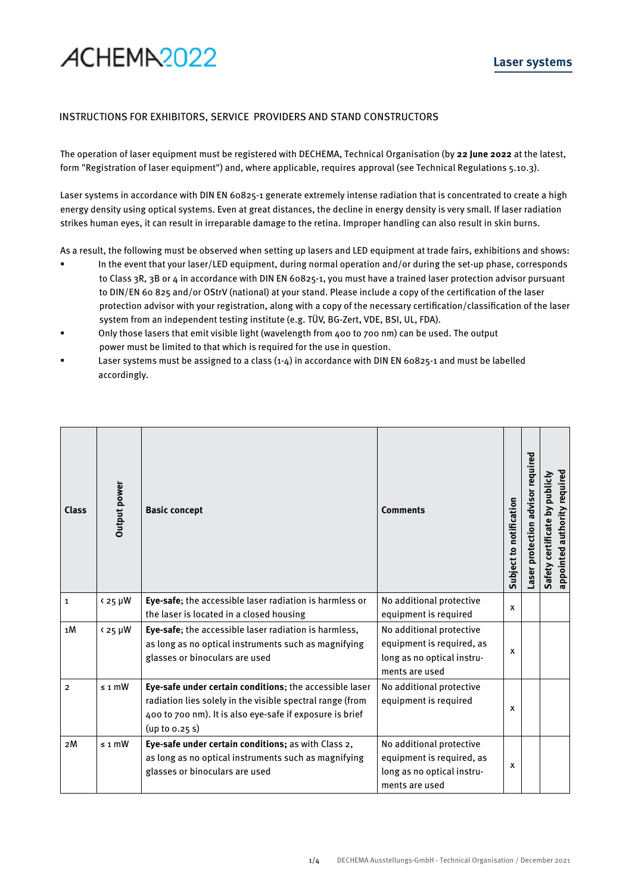## ACHEMA<sub>2022</sub>

## INSTRUCTIONS FOR EXHIBITORS, SERVICE PROVIDERS AND STAND CONSTRUCTORS

The operation of laser equipment must be registered with DECHEMA, Technical Organisation (by **22 June 2022** at the latest, form "Registration of laser equipment") and, where applicable, requires approval (see Technical Regulations 5.10.3).

Laser systems in accordance with DIN EN 60825-1 generate extremely intense radiation that is concentrated to create a high energy density using optical systems. Even at great distances, the decline in energy density is very small. If laser radiation strikes human eyes, it can result in irreparable damage to the retina. Improper handling can also result in skin burns.

As a result, the following must be observed when setting up lasers and LED equipment at trade fairs, exhibitions and shows:

- In the event that your laser/LED equipment, during normal operation and/or during the set-up phase, corresponds to Class 3R, 3B or 4 in accordance with DIN EN 60825-1, you must have a trained laser protection advisor pursuant to DIN/EN 60 825 and/or OStrV (national) at your stand. Please include a copy of the certification of the laser protection advisor with your registration, along with a copy of the necessary certification/classification of the laser system from an independent testing institute (e.g. TÜV, BG-Zert, VDE, BSI, UL, FDA).
- Only those lasers that emit visible light (wavelength from 400 to 700 nm) can be used. The output power must be limited to that which is required for the use in question.
- Laser systems must be assigned to a class (1-4) in accordance with DIN EN 60825-1 and must be labelled accordingly.

| <b>Class</b>   | <b>Output power</b>               | <b>Basic concept</b>                                                                                                                                                                               | <b>Comments</b>                                                                                       | Subject to notification | advisor required<br>Laser protection | appointed authority required<br>Safety certificate by publicly |
|----------------|-----------------------------------|----------------------------------------------------------------------------------------------------------------------------------------------------------------------------------------------------|-------------------------------------------------------------------------------------------------------|-------------------------|--------------------------------------|----------------------------------------------------------------|
| $\mathbf 1$    | $\frac{25 \text{ }\mu\text{W}}{}$ | Eye-safe; the accessible laser radiation is harmless or<br>the laser is located in a closed housing                                                                                                | No additional protective<br>equipment is required                                                     | X                       |                                      |                                                                |
| 1M             | $425 \mu W$                       | Eye-safe; the accessible laser radiation is harmless,<br>as long as no optical instruments such as magnifying<br>glasses or binoculars are used                                                    | No additional protective<br>equipment is required, as<br>long as no optical instru-<br>ments are used | X                       |                                      |                                                                |
| $\overline{2}$ | $\leq$ 1 mW                       | Eye-safe under certain conditions; the accessible laser<br>radiation lies solely in the visible spectral range (from<br>400 to 700 nm). It is also eye-safe if exposure is brief<br>(up to 0.25 s) | No additional protective<br>equipment is required                                                     | X                       |                                      |                                                                |
| 2M             | $\leq$ 1 mW                       | Eye-safe under certain conditions; as with Class 2,<br>as long as no optical instruments such as magnifying<br>glasses or binoculars are used                                                      | No additional protective<br>equipment is required, as<br>long as no optical instru-<br>ments are used | X                       |                                      |                                                                |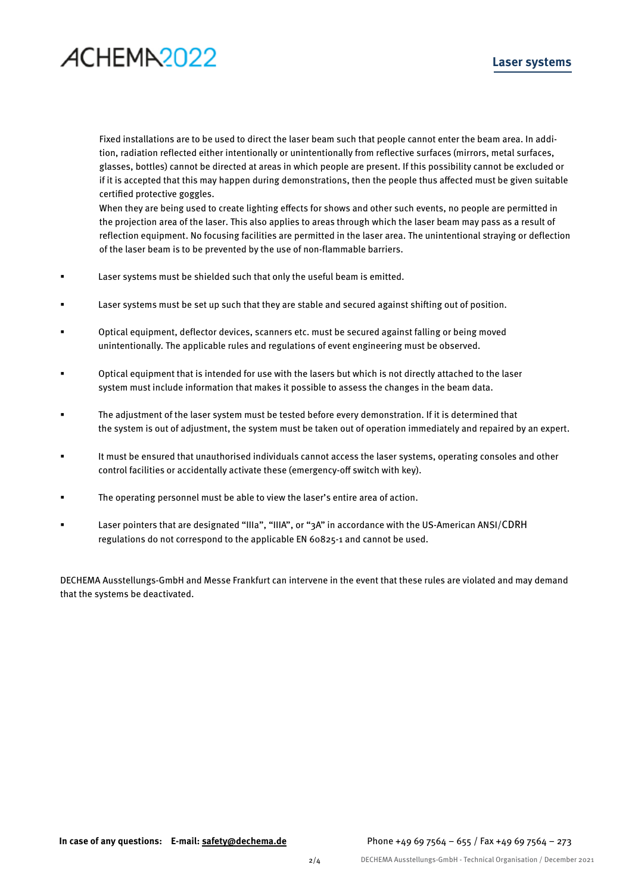## ACHEMA<sub>2022</sub>

## **Laser systems**

Fixed installations are to be used to direct the laser beam such that people cannot enter the beam area. In addition, radiation reflected either intentionally or unintentionally from reflective surfaces (mirrors, metal surfaces, glasses, bottles) cannot be directed at areas in which people are present. If this possibility cannot be excluded or if it is accepted that this may happen during demonstrations, then the people thus affected must be given suitable certified protective goggles.

When they are being used to create lighting effects for shows and other such events, no people are permitted in the projection area of the laser. This also applies to areas through which the laser beam may pass as a result of reflection equipment. No focusing facilities are permitted in the laser area. The unintentional straying or deflection of the laser beam is to be prevented by the use of non-flammable barriers.

- Laser systems must be shielded such that only the useful beam is emitted.
- Laser systems must be set up such that they are stable and secured against shifting out of position.
- Optical equipment, deflector devices, scanners etc. must be secured against falling or being moved unintentionally. The applicable rules and regulations of event engineering must be observed.
- Optical equipment that is intended for use with the lasers but which is not directly attached to the laser system must include information that makes it possible to assess the changes in the beam data.
- The adjustment of the laser system must be tested before every demonstration. If it is determined that the system is out of adjustment, the system must be taken out of operation immediately and repaired by an expert.
- It must be ensured that unauthorised individuals cannot access the laser systems, operating consoles and other control facilities or accidentally activate these (emergency-off switch with key).
- The operating personnel must be able to view the laser's entire area of action.
- Laser pointers that are designated "IIIa", "IIIA", or "3A" in accordance with the US-American ANSI/CDRH regulations do not correspond to the applicable EN 60825-1 and cannot be used.

DECHEMA Ausstellungs-GmbH and Messe Frankfurt can intervene in the event that these rules are violated and may demand that the systems be deactivated.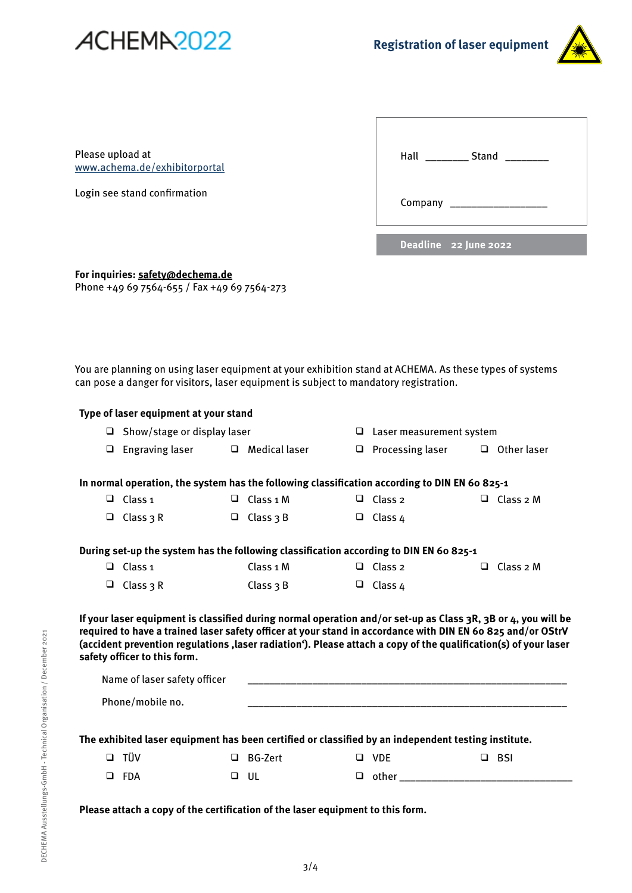



Please upload at www.achema.de/exhibitorportal

Login see stand confirmation

| Hall<br><b>Stand</b>  |  |
|-----------------------|--|
|                       |  |
|                       |  |
| Deadline 22 June 2022 |  |

**For inquiries: safety@dechema.de** Phone +49 69 7564-655 / Fax +49 69 7564-273

You are planning on using laser equipment at your exhibition stand at ACHEMA. As these types of systems can pose a danger for visitors, laser equipment is subject to mandatory registration.

|        | can pose a danger for visitors, taser equipment is subject to manuatory registration.                                                                                                                                                                                                                                                                                           |        |                      |        |                                 |        |                    |
|--------|---------------------------------------------------------------------------------------------------------------------------------------------------------------------------------------------------------------------------------------------------------------------------------------------------------------------------------------------------------------------------------|--------|----------------------|--------|---------------------------------|--------|--------------------|
|        | Type of laser equipment at your stand                                                                                                                                                                                                                                                                                                                                           |        |                      |        |                                 |        |                    |
|        | $\Box$ Show/stage or display laser                                                                                                                                                                                                                                                                                                                                              |        |                      |        | $\Box$ Laser measurement system |        |                    |
| $\Box$ | Engraving laser                                                                                                                                                                                                                                                                                                                                                                 |        | $\Box$ Medical laser | $\Box$ | Processing laser                |        | $\Box$ Other laser |
|        | In normal operation, the system has the following classification according to DIN EN 60 825-1                                                                                                                                                                                                                                                                                   |        |                      |        |                                 |        |                    |
|        | $\Box$ Class 1                                                                                                                                                                                                                                                                                                                                                                  |        | $\Box$ Class 1 M     |        | $\Box$ Class 2                  |        | $\Box$ Class 2 M   |
| $\Box$ | Class $3R$                                                                                                                                                                                                                                                                                                                                                                      |        | $\Box$ Class 3 B     |        | $\Box$ Class 4                  |        |                    |
|        | During set-up the system has the following classification according to DIN EN 60 825-1                                                                                                                                                                                                                                                                                          |        |                      |        |                                 |        |                    |
| $\Box$ | Class <sub>1</sub>                                                                                                                                                                                                                                                                                                                                                              |        | Class 1 M            |        | $\Box$ Class 2                  |        | $\Box$ Class 2 M   |
| $\Box$ | Class $3R$                                                                                                                                                                                                                                                                                                                                                                      |        | Class $3B$           |        | $\Box$ Class 4                  |        |                    |
|        | If your laser equipment is classified during normal operation and/or set-up as Class 3R, 3B or 4, you will be<br>required to have a trained laser safety officer at your stand in accordance with DIN EN 60 825 and/or OStrV<br>(accident prevention regulations ,laser radiation'). Please attach a copy of the qualification(s) of your laser<br>safety officer to this form. |        |                      |        |                                 |        |                    |
|        | Name of laser safety officer                                                                                                                                                                                                                                                                                                                                                    |        |                      |        |                                 |        |                    |
|        | Phone/mobile no.                                                                                                                                                                                                                                                                                                                                                                |        |                      |        |                                 |        |                    |
|        | The exhibited laser equipment has been certified or classified by an independent testing institute.                                                                                                                                                                                                                                                                             |        |                      |        |                                 |        |                    |
| $\Box$ | TÜV                                                                                                                                                                                                                                                                                                                                                                             | $\Box$ | BG-Zert              |        | $\Box$ VDE                      | $\Box$ | BSI                |
| $\Box$ | FDA                                                                                                                                                                                                                                                                                                                                                                             | $\Box$ | UL                   |        | $\Box$ other                    |        |                    |

**Please attach a copy of the certification of the laser equipment to this form.**